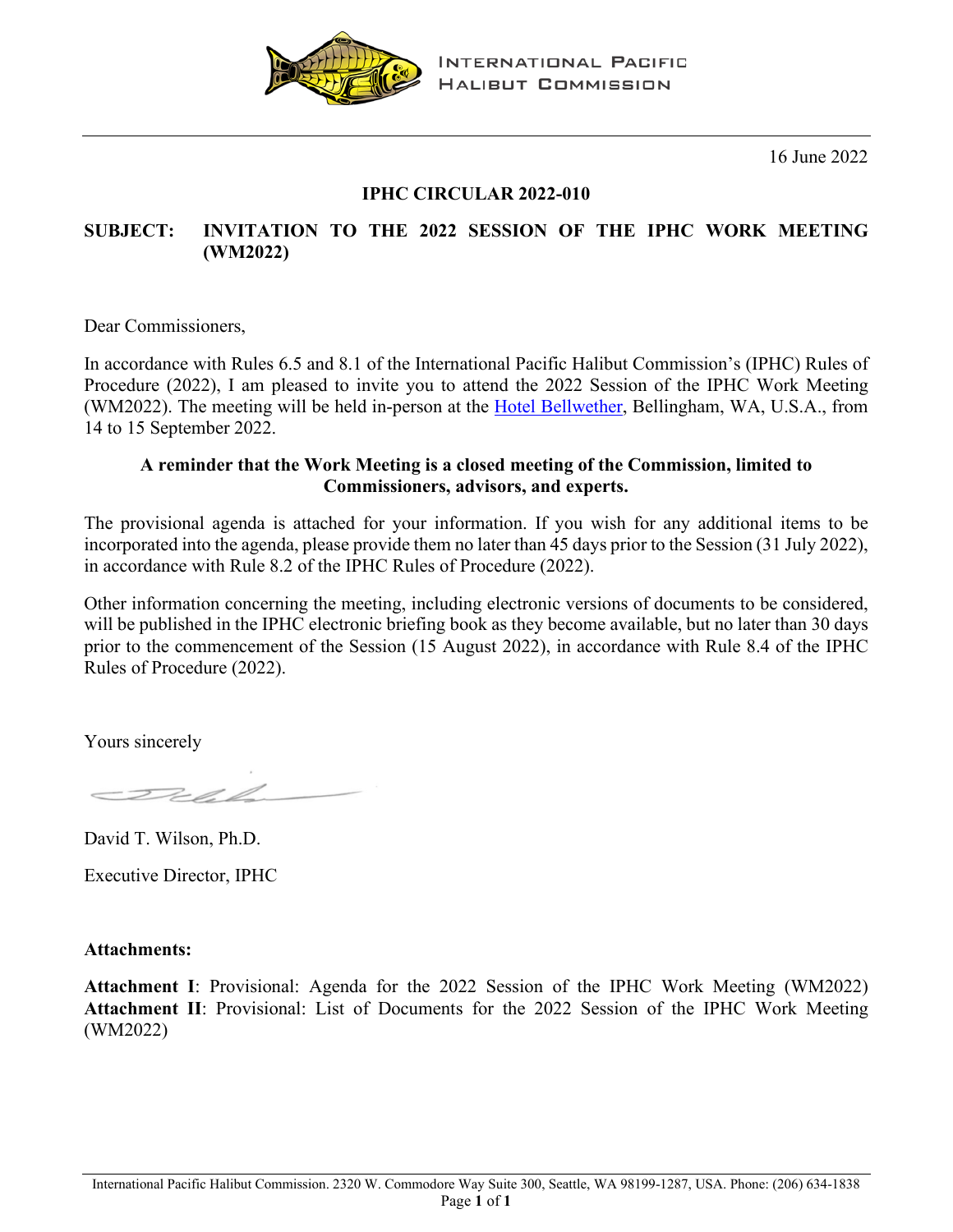

**INTERNATIONAL PACIFIC HALIBUT COMMISSION** 

16 June 2022

## **IPHC CIRCULAR 2022-010**

### **SUBJECT: INVITATION TO THE 2022 SESSION OF THE IPHC WORK MEETING (WM2022)**

Dear Commissioners,

In accordance with Rules 6.5 and 8.1 of the International Pacific Halibut Commission's (IPHC) Rules of Procedure (2022), I am pleased to invite you to attend the 2022 Session of the IPHC Work Meeting (WM2022). The meeting will be held in-person at the [Hotel Bellwether,](https://hotelbellwether.com/) Bellingham, WA, U.S.A., from 14 to 15 September 2022.

#### **A reminder that the Work Meeting is a closed meeting of the Commission, limited to Commissioners, advisors, and experts.**

The provisional agenda is attached for your information. If you wish for any additional items to be incorporated into the agenda, please provide them no later than 45 days prior to the Session (31 July 2022), in accordance with Rule 8.2 of the IPHC Rules of Procedure (2022).

Other information concerning the meeting, including electronic versions of documents to be considered, will be published in the IPHC electronic briefing book as they become available, but no later than 30 days prior to the commencement of the Session (15 August 2022), in accordance with Rule 8.4 of the IPHC Rules of Procedure (2022).

Yours sincerely

David T. Wilson, Ph.D.

Executive Director, IPHC

**Attachments:** 

**Attachment I**: Provisional: Agenda for the 2022 Session of the IPHC Work Meeting (WM2022) **Attachment II**: Provisional: List of Documents for the 2022 Session of the IPHC Work Meeting (WM2022)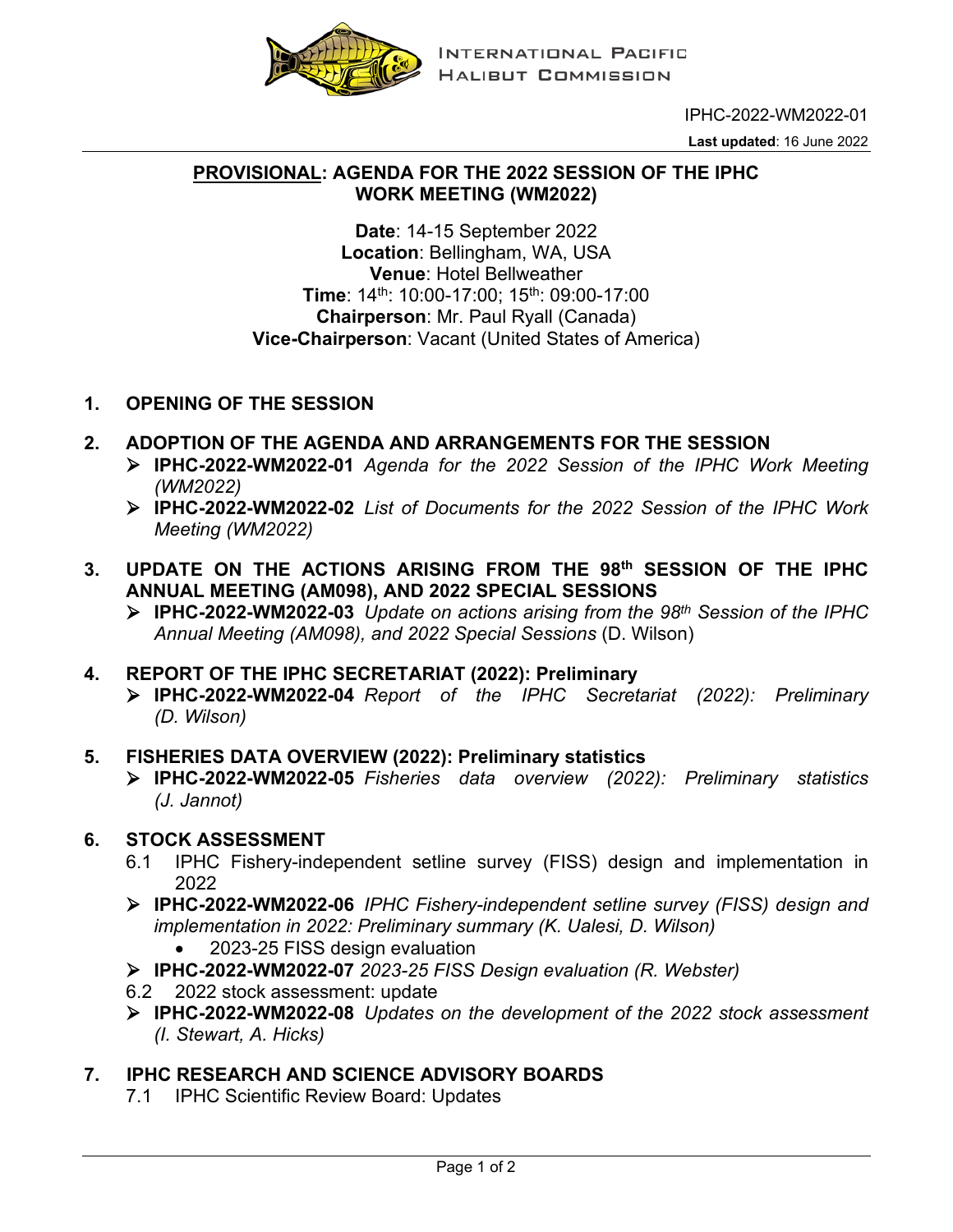

IPHC-2022-WM2022-01

**Last updated**: 16 June 2022

#### **PROVISIONAL: AGENDA FOR THE 2022 SESSION OF THE IPHC WORK MEETING (WM2022)**

**Date**: 14-15 September 2022 **Location**: Bellingham, WA, USA **Venue**: Hotel Bellweather **Time**: 14th: 10:00-17:00; 15th: 09:00-17:00 **Chairperson**: Mr. Paul Ryall (Canada) **Vice-Chairperson**: Vacant (United States of America)

- **1. OPENING OF THE SESSION**
- **2. ADOPTION OF THE AGENDA AND ARRANGEMENTS FOR THE SESSION**
	- **IPHC-2022-WM2022-01** *Agenda for the 2022 Session of the IPHC Work Meeting (WM2022)*
	- **IPHC-2022-WM2022-02** *List of Documents for the 2022 Session of the IPHC Work Meeting (WM2022)*
- **3. UPDATE ON THE ACTIONS ARISING FROM THE 98th SESSION OF THE IPHC ANNUAL MEETING (AM098), AND 2022 SPECIAL SESSIONS**
	- **IPHC-2022-WM2022-03** *Update on actions arising from the 98th Session of the IPHC Annual Meeting (AM098), and 2022 Special Sessions* (D. Wilson)
- **4. REPORT OF THE IPHC SECRETARIAT (2022): Preliminary**
	- **IPHC-2022-WM2022-04** *Report of the IPHC Secretariat (2022): Preliminary (D. Wilson)*
- **5. FISHERIES DATA OVERVIEW (2022): Preliminary statistics**
	- **IPHC-2022-WM2022-05** *Fisheries data overview (2022): Preliminary statistics (J. Jannot)*

### **6. STOCK ASSESSMENT**

- 6.1 IPHC Fishery-independent setline survey (FISS) design and implementation in 2022
- **IPHC-2022-WM2022-06** *IPHC Fishery-independent setline survey (FISS) design and implementation in 2022: Preliminary summary (K. Ualesi, D. Wilson)*
	- 2023-25 FISS design evaluation
- **IPHC-2022-WM2022-07** *2023-25 FISS Design evaluation (R. Webster)*
- 6.2 2022 stock assessment: update
- **IPHC-2022-WM2022-08** *Updates on the development of the 2022 stock assessment (I. Stewart, A. Hicks)*

# **7. IPHC RESEARCH AND SCIENCE ADVISORY BOARDS**

7.1 IPHC Scientific Review Board: Updates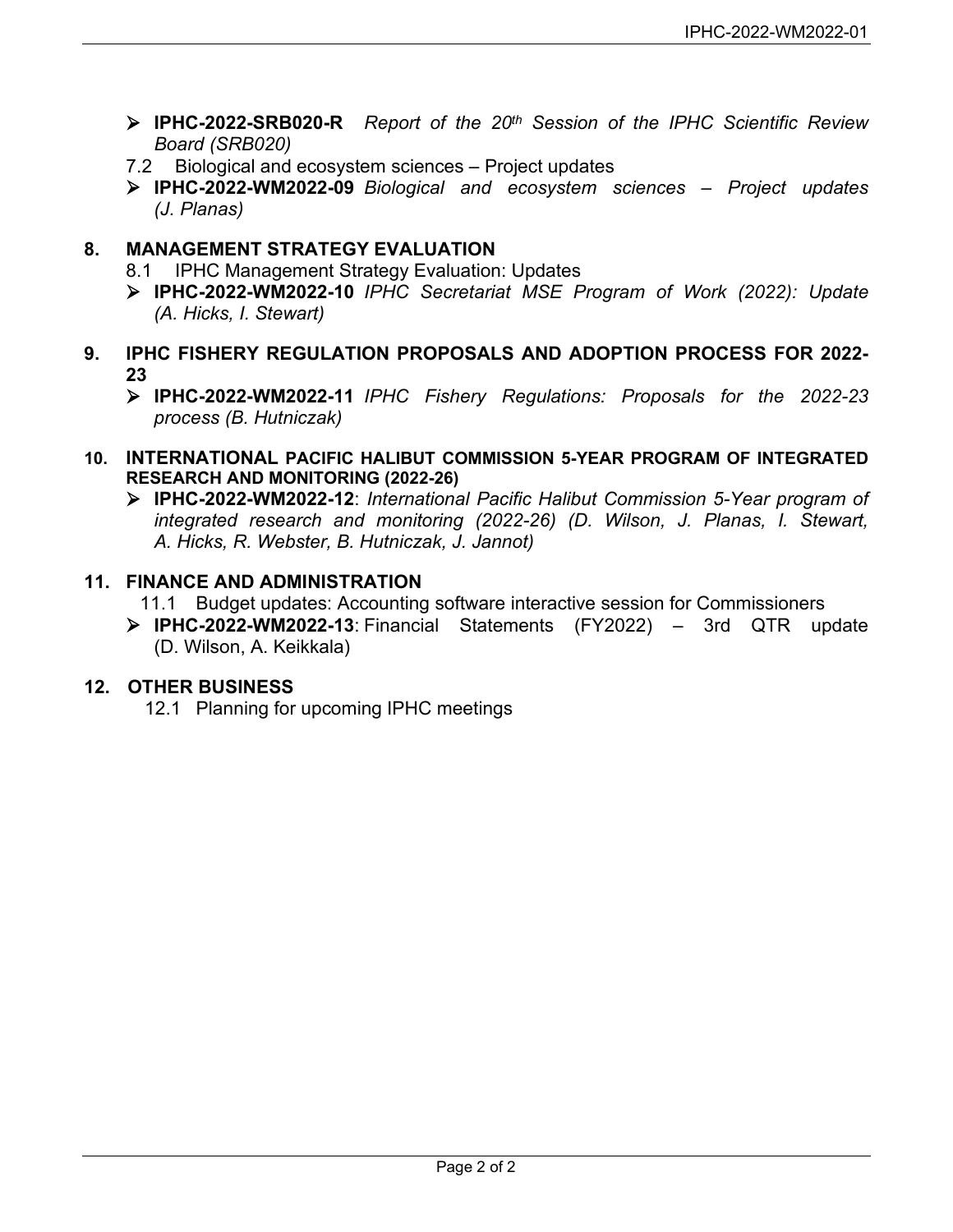- **IPHC-2022-SRB020-R** *Report of the 20th Session of the IPHC Scientific Review Board (SRB020)*
- 7.2 Biological and ecosystem sciences Project updates
- **IPHC-2022-WM2022-09** *Biological and ecosystem sciences – Project updates (J. Planas)*

# **8. MANAGEMENT STRATEGY EVALUATION**

- 8.1 IPHC Management Strategy Evaluation: Updates
- **IPHC-2022-WM2022-10** *IPHC Secretariat MSE Program of Work (2022): Update (A. Hicks, I. Stewart)*
- **9. IPHC FISHERY REGULATION PROPOSALS AND ADOPTION PROCESS FOR 2022- 23**
	- **IPHC-2022-WM2022-11** *IPHC Fishery Regulations: Proposals for the 2022-23 process (B. Hutniczak)*
- **10. INTERNATIONAL PACIFIC HALIBUT COMMISSION 5-YEAR PROGRAM OF INTEGRATED RESEARCH AND MONITORING (2022-26)**
	- **IPHC-2022-WM2022-12**: *International Pacific Halibut Commission 5-Year program of integrated research and monitoring (2022-26) (D. Wilson, J. Planas, I. Stewart, A. Hicks, R. Webster, B. Hutniczak, J. Jannot)*

### **11. FINANCE AND ADMINISTRATION**

- 11.1 Budget updates: Accounting software interactive session for Commissioners
- **IPHC-2022-WM2022-13**: Financial Statements (FY2022) 3rd QTR update (D. Wilson, A. Keikkala)

# **12. OTHER BUSINESS**

12.1 Planning for upcoming IPHC meetings